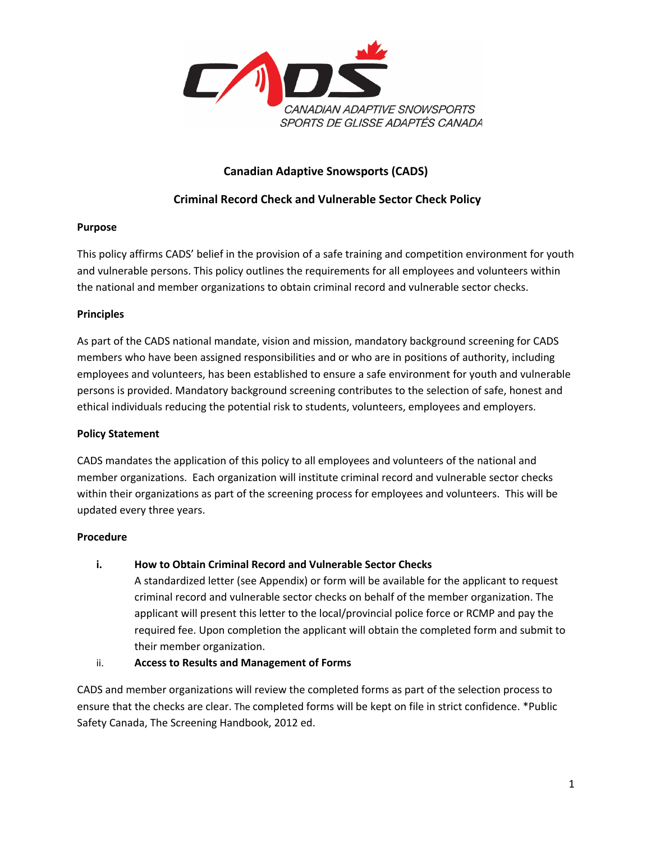

# **Canadian Adaptive Snowsports (CADS)**

## **Criminal Record Check and Vulnerable Sector Check Policy**

### **Purpose**

This policy affirms CADS' belief in the provision of a safe training and competition environment for youth and vulnerable persons. This policy outlines the requirements for all employees and volunteers within the national and member organizations to obtain criminal record and vulnerable sector checks.

#### **Principles**

As part of the CADS national mandate, vision and mission, mandatory background screening for CADS members who have been assigned responsibilities and or who are in positions of authority, including employees and volunteers, has been established to ensure a safe environment for youth and vulnerable persons is provided. Mandatory background screening contributes to the selection of safe, honest and ethical individuals reducing the potential risk to students, volunteers, employees and employers.

### **Policy Statement**

CADS mandates the application of this policy to all employees and volunteers of the national and member organizations. Each organization will institute criminal record and vulnerable sector checks within their organizations as part of the screening process for employees and volunteers. This will be updated every three years.

### **Procedure**

### **i. How to Obtain Criminal Record and Vulnerable Sector Checks**

A standardized letter (see Appendix) or form will be available for the applicant to request criminal record and vulnerable sector checks on behalf of the member organization. The applicant will present this letter to the local/provincial police force or RCMP and pay the required fee. Upon completion the applicant will obtain the completed form and submit to their member organization.

### ii. **Access to Results and Management of Forms**

CADS and member organizations will review the completed forms as part of the selection process to ensure that the checks are clear. The completed forms will be kept on file in strict confidence. \*Public Safety Canada, The Screening Handbook, 2012 ed.